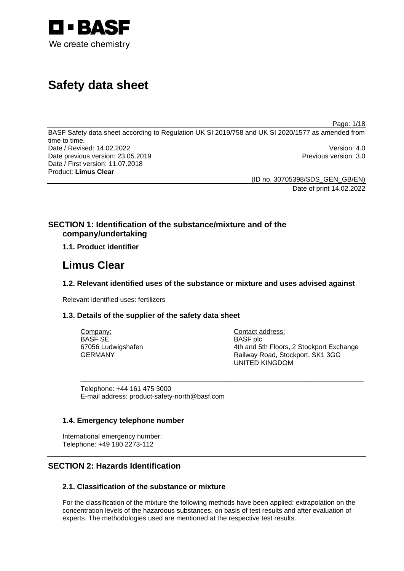

# **Safety data sheet**

Page: 1/18

BASF Safety data sheet according to Regulation UK SI 2019/758 and UK SI 2020/1577 as amended from time to time. Date / Revised: 14.02.2022 Version: 4.0 Date previous version: 23.05.2019 **Previous version: 3.0** Previous version: 3.0 Date / First version: 11.07.2018 Product: **Limus Clear** 

> (ID no. 30705398/SDS\_GEN\_GB/EN) Date of print 14.02.2022

# **SECTION 1: Identification of the substance/mixture and of the company/undertaking**

# **1.1. Product identifier**

# **Limus Clear**

# **1.2. Relevant identified uses of the substance or mixture and uses advised against**

Relevant identified uses: fertilizers

# **1.3. Details of the supplier of the safety data sheet**

| Company:           | Contact address:                         |
|--------------------|------------------------------------------|
| BASF SE            | <b>BASF</b> plc                          |
| 67056 Ludwigshafen | 4th and 5th Floors, 2 Stockport Exchange |
| GERMANY            | Railway Road, Stockport, SK1 3GG         |
|                    | UNITED KINGDOM                           |

\_\_\_\_\_\_\_\_\_\_\_\_\_\_\_\_\_\_\_\_\_\_\_\_\_\_\_\_\_\_\_\_\_\_\_\_\_\_\_\_\_\_\_\_\_\_\_\_\_\_\_\_\_\_\_\_\_\_\_\_\_\_\_\_\_\_\_\_\_\_\_\_\_\_\_

Telephone: +44 161 475 3000 E-mail address: product-safety-north@basf.com

# **1.4. Emergency telephone number**

International emergency number: Telephone: +49 180 2273-112

# **SECTION 2: Hazards Identification**

# **2.1. Classification of the substance or mixture**

For the classification of the mixture the following methods have been applied: extrapolation on the concentration levels of the hazardous substances, on basis of test results and after evaluation of experts. The methodologies used are mentioned at the respective test results.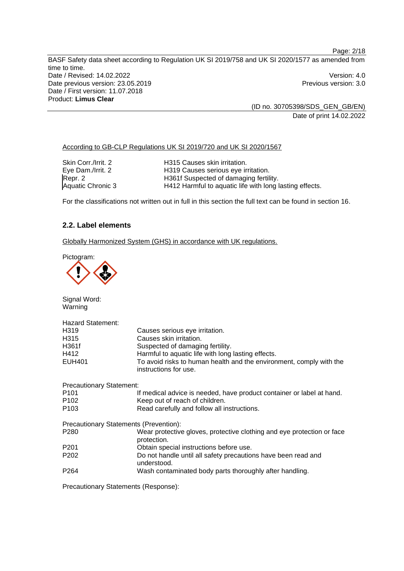BASF Safety data sheet according to Regulation UK SI 2019/758 and UK SI 2020/1577 as amended from time to time. Date / Revised: 14.02.2022 Version: 4.0 Date previous version: 23.05.2019 **Previous version: 3.0** Previous version: 3.0 Date / First version: 11.07.2018 Product: **Limus Clear** 

(ID no. 30705398/SDS\_GEN\_GB/EN) Date of print 14.02.2022

According to GB-CLP Regulations UK SI 2019/720 and UK SI 2020/1567

| Skin Corr./Irrit. 2      | H315 Causes skin irritation.                            |
|--------------------------|---------------------------------------------------------|
| Eye Dam./Irrit. 2        | H319 Causes serious eye irritation.                     |
| Repr. 2                  | H361f Suspected of damaging fertility.                  |
| <b>Aquatic Chronic 3</b> | H412 Harmful to aquatic life with long lasting effects. |

For the classifications not written out in full in this section the full text can be found in section 16.

# **2.2. Label elements**

Globally Harmonized System (GHS) in accordance with UK regulations.

Pictogram:



Signal Word: Warning

| <b>Hazard Statement:</b>               |                                                                                              |  |  |
|----------------------------------------|----------------------------------------------------------------------------------------------|--|--|
| H <sub>3</sub> 19                      | Causes serious eye irritation.                                                               |  |  |
| H <sub>315</sub>                       | Causes skin irritation.                                                                      |  |  |
| H361f                                  | Suspected of damaging fertility.                                                             |  |  |
| H412                                   | Harmful to aquatic life with long lasting effects.                                           |  |  |
| <b>EUH401</b>                          | To avoid risks to human health and the environment, comply with the<br>instructions for use. |  |  |
| <b>Precautionary Statement:</b>        |                                                                                              |  |  |
| P <sub>101</sub>                       | If medical advice is needed, have product container or label at hand.                        |  |  |
| P <sub>102</sub>                       | Keep out of reach of children.                                                               |  |  |
| P <sub>103</sub>                       | Read carefully and follow all instructions.                                                  |  |  |
| Precautionary Statements (Prevention): |                                                                                              |  |  |
| P <sub>280</sub>                       | Wear protective gloves, protective clothing and eye protection or face<br>protection.        |  |  |
| P <sub>201</sub>                       | Obtain special instructions before use.                                                      |  |  |
| P <sub>202</sub>                       | Do not handle until all safety precautions have been read and<br>understood.                 |  |  |
| P <sub>264</sub>                       | Wash contaminated body parts thoroughly after handling.                                      |  |  |

Precautionary Statements (Response):

Page: 2/18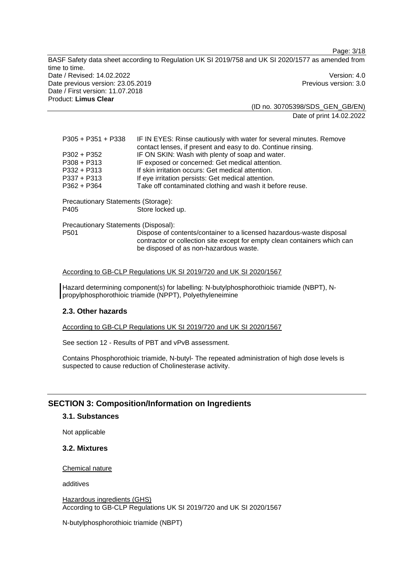Page: 3/18 BASF Safety data sheet according to Regulation UK SI 2019/758 and UK SI 2020/1577 as amended from time to time. Date / Revised: 14.02.2022 Version: 4.0 Date previous version: 23.05.2019 **Previous version: 3.0** Previous version: 3.0 Date / First version: 11.07.2018 Product: **Limus Clear** 

(ID no. 30705398/SDS\_GEN\_GB/EN) Date of print 14.02.2022

| P305 + P351 + P338                   | IF IN EYES: Rinse cautiously with water for several minutes. Remove<br>contact lenses, if present and easy to do. Continue rinsing.                                                         |
|--------------------------------------|---------------------------------------------------------------------------------------------------------------------------------------------------------------------------------------------|
| P302 + P352                          | IF ON SKIN: Wash with plenty of soap and water.                                                                                                                                             |
| P308 + P313                          | IF exposed or concerned: Get medical attention.                                                                                                                                             |
| P332 + P313                          | If skin irritation occurs: Get medical attention.                                                                                                                                           |
| P337 + P313                          | If eye irritation persists: Get medical attention.                                                                                                                                          |
| P362 + P364                          | Take off contaminated clothing and wash it before reuse.                                                                                                                                    |
| Precautionary Statements (Storage):  |                                                                                                                                                                                             |
| P405                                 | Store locked up.                                                                                                                                                                            |
| Precautionary Statements (Disposal): |                                                                                                                                                                                             |
| P501                                 | Dispose of contents/container to a licensed hazardous-waste disposal<br>contractor or collection site except for empty clean containers which can<br>be disposed of as non-hazardous waste. |

### According to GB-CLP Regulations UK SI 2019/720 and UK SI 2020/1567

Hazard determining component(s) for labelling: N-butylphosphorothioic triamide (NBPT), Npropylphosphorothioic triamide (NPPT), Polyethyleneimine

# **2.3. Other hazards**

According to GB-CLP Regulations UK SI 2019/720 and UK SI 2020/1567

See section 12 - Results of PBT and vPvB assessment.

Contains Phosphorothioic triamide, N-butyl- The repeated administration of high dose levels is suspected to cause reduction of Cholinesterase activity.

### **SECTION 3: Composition/Information on Ingredients**

#### **3.1. Substances**

Not applicable

# **3.2. Mixtures**

#### Chemical nature

additives

Hazardous ingredients (GHS) According to GB-CLP Regulations UK SI 2019/720 and UK SI 2020/1567

N-butylphosphorothioic triamide (NBPT)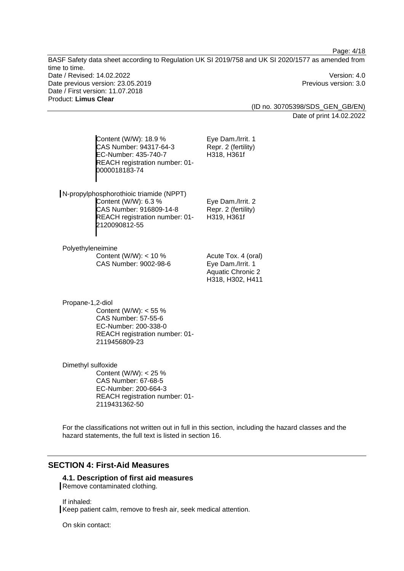Page: 4/18

BASF Safety data sheet according to Regulation UK SI 2019/758 and UK SI 2020/1577 as amended from time to time. Date / Revised: 14.02.2022 Version: 4.0 Date previous version: 23.05.2019 **Previous version: 3.0** Previous version: 3.0 Date / First version: 11.07.2018 Product: **Limus Clear** 

> (ID no. 30705398/SDS\_GEN\_GB/EN) Date of print 14.02.2022

Content (W/W): 18.9 % CAS Number: 94317-64-3 EC-Number: 435-740-7 REACH registration number: 01- 0000018183-74 Eye Dam./Irrit. 1 Repr. 2 (fertility) H318, H361f N-propylphosphorothioic triamide (NPPT) Content (W/W): 6.3 % CAS Number: 916809-14-8 REACH registration number: 01- 2120090812-55 Eye Dam./Irrit. 2 Repr. 2 (fertility) H319, H361f Polyethyleneimine Content (W/W): < 10 % CAS Number: 9002-98-6 Acute Tox. 4 (oral) Eye Dam./Irrit. 1 Aquatic Chronic 2 H318, H302, H411 Propane-1,2-diol Content (W/W): < 55 % CAS Number: 57-55-6 EC-Number: 200-338-0 REACH registration number: 01- 2119456809-23 Dimethyl sulfoxide

Content (W/W): < 25 % CAS Number: 67-68-5 EC-Number: 200-664-3 REACH registration number: 01- 2119431362-50

For the classifications not written out in full in this section, including the hazard classes and the hazard statements, the full text is listed in section 16.

# **SECTION 4: First-Aid Measures**

# **4.1. Description of first aid measures**

Remove contaminated clothing.

If inhaled:

Keep patient calm, remove to fresh air, seek medical attention.

On skin contact: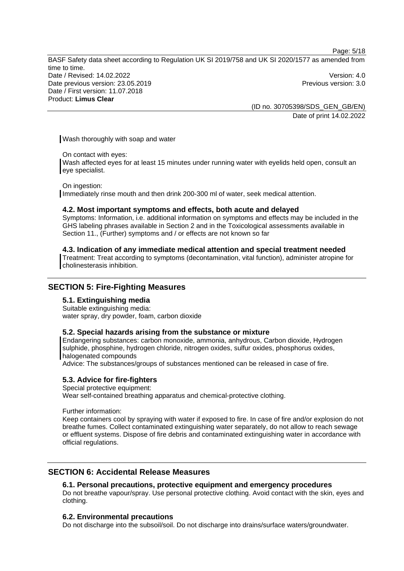Page: 5/18

BASF Safety data sheet according to Regulation UK SI 2019/758 and UK SI 2020/1577 as amended from time to time. Date / Revised: 14.02.2022 Version: 4.0 Date previous version: 23.05.2019 **Previous version: 3.0** Previous version: 3.0 Date / First version: 11.07.2018 Product: **Limus Clear** 

(ID no. 30705398/SDS\_GEN\_GB/EN) Date of print 14.02.2022

Wash thoroughly with soap and water

On contact with eyes:

Wash affected eyes for at least 15 minutes under running water with eyelids held open, consult an eye specialist.

On ingestion:

Immediately rinse mouth and then drink 200-300 ml of water, seek medical attention.

### **4.2. Most important symptoms and effects, both acute and delayed**

Symptoms: Information, i.e. additional information on symptoms and effects may be included in the GHS labeling phrases available in Section 2 and in the Toxicological assessments available in Section 11., (Further) symptoms and / or effects are not known so far

## **4.3. Indication of any immediate medical attention and special treatment needed**

Treatment: Treat according to symptoms (decontamination, vital function), administer atropine for cholinesterasis inhibition.

# **SECTION 5: Fire-Fighting Measures**

### **5.1. Extinguishing media**

Suitable extinguishing media: water spray, dry powder, foam, carbon dioxide

### **5.2. Special hazards arising from the substance or mixture**

Endangering substances: carbon monoxide, ammonia, anhydrous, Carbon dioxide, Hydrogen sulphide, phosphine, hydrogen chloride, nitrogen oxides, sulfur oxides, phosphorus oxides, halogenated compounds

Advice: The substances/groups of substances mentioned can be released in case of fire.

### **5.3. Advice for fire-fighters**

Special protective equipment:

Wear self-contained breathing apparatus and chemical-protective clothing.

Further information:

Keep containers cool by spraying with water if exposed to fire. In case of fire and/or explosion do not breathe fumes. Collect contaminated extinguishing water separately, do not allow to reach sewage or effluent systems. Dispose of fire debris and contaminated extinguishing water in accordance with official regulations.

# **SECTION 6: Accidental Release Measures**

# **6.1. Personal precautions, protective equipment and emergency procedures**

Do not breathe vapour/spray. Use personal protective clothing. Avoid contact with the skin, eyes and clothing.

### **6.2. Environmental precautions**

Do not discharge into the subsoil/soil. Do not discharge into drains/surface waters/groundwater.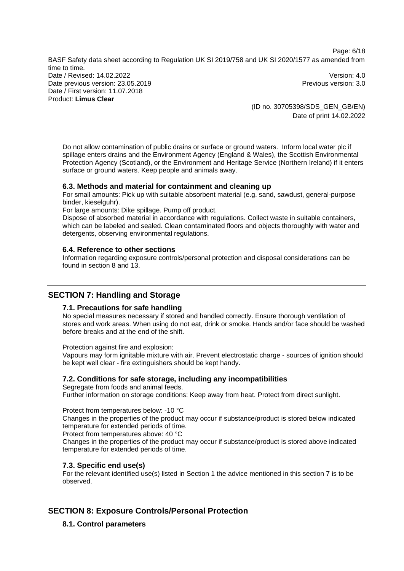Page: 6/18 BASF Safety data sheet according to Regulation UK SI 2019/758 and UK SI 2020/1577 as amended from time to time. Date / Revised: 14.02.2022 Version: 4.0 Date previous version: 23.05.2019 **Previous version: 3.0** Previous version: 3.0 Date / First version: 11.07.2018 Product: **Limus Clear** 

(ID no. 30705398/SDS\_GEN\_GB/EN) Date of print 14.02.2022

Do not allow contamination of public drains or surface or ground waters. Inform local water plc if spillage enters drains and the Environment Agency (England & Wales), the Scottish Environmental Protection Agency (Scotland), or the Environment and Heritage Service (Northern Ireland) if it enters surface or ground waters. Keep people and animals away.

# **6.3. Methods and material for containment and cleaning up**

For small amounts: Pick up with suitable absorbent material (e.g. sand, sawdust, general-purpose binder, kieselguhr).

For large amounts: Dike spillage. Pump off product.

Dispose of absorbed material in accordance with regulations. Collect waste in suitable containers, which can be labeled and sealed. Clean contaminated floors and objects thoroughly with water and detergents, observing environmental regulations.

## **6.4. Reference to other sections**

Information regarding exposure controls/personal protection and disposal considerations can be found in section 8 and 13.

# **SECTION 7: Handling and Storage**

# **7.1. Precautions for safe handling**

No special measures necessary if stored and handled correctly. Ensure thorough ventilation of stores and work areas. When using do not eat, drink or smoke. Hands and/or face should be washed before breaks and at the end of the shift.

Protection against fire and explosion:

Vapours may form ignitable mixture with air. Prevent electrostatic charge - sources of ignition should be kept well clear - fire extinguishers should be kept handy.

# **7.2. Conditions for safe storage, including any incompatibilities**

Segregate from foods and animal feeds.

Further information on storage conditions: Keep away from heat. Protect from direct sunlight.

Protect from temperatures below: -10 °C

Changes in the properties of the product may occur if substance/product is stored below indicated temperature for extended periods of time.

Protect from temperatures above: 40 °C

Changes in the properties of the product may occur if substance/product is stored above indicated temperature for extended periods of time.

# **7.3. Specific end use(s)**

For the relevant identified use(s) listed in Section 1 the advice mentioned in this section 7 is to be observed.

# **SECTION 8: Exposure Controls/Personal Protection**

**8.1. Control parameters**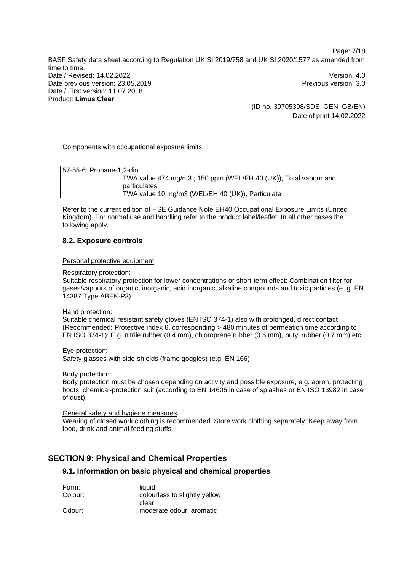Page: 7/18

BASF Safety data sheet according to Regulation UK SI 2019/758 and UK SI 2020/1577 as amended from time to time. Date / Revised: 14.02.2022 Version: 4.0 Date previous version: 23.05.2019 **Previous version: 3.0** Previous version: 3.0 Date / First version: 11.07.2018 Product: **Limus Clear** 

(ID no. 30705398/SDS\_GEN\_GB/EN) Date of print 14.02.2022

Components with occupational exposure limits

57-55-6: Propane-1,2-diol TWA value 474 mg/m3 ; 150 ppm (WEL/EH 40 (UK)), Total vapour and particulates TWA value 10 mg/m3 (WEL/EH 40 (UK)), Particulate

Refer to the current edition of HSE Guidance Note EH40 Occupational Exposure Limits (United Kingdom). For normal use and handling refer to the product label/leaflet. In all other cases the following apply.

# **8.2. Exposure controls**

Personal protective equipment

Respiratory protection:

Suitable respiratory protection for lower concentrations or short-term effect: Combination filter for gases/vapours of organic, inorganic, acid inorganic, alkaline compounds and toxic particles (e. g. EN 14387 Type ABEK-P3)

Hand protection:

Suitable chemical resistant safety gloves (EN ISO 374-1) also with prolonged, direct contact (Recommended: Protective index 6, corresponding > 480 minutes of permeation time according to EN ISO 374-1): E.g. nitrile rubber (0.4 mm), chloroprene rubber (0.5 mm), butyl rubber (0.7 mm) etc.

Eye protection: Safety glasses with side-shields (frame goggles) (e.g. EN 166)

Body protection:

Body protection must be chosen depending on activity and possible exposure, e.g. apron, protecting boots, chemical-protection suit (according to EN 14605 in case of splashes or EN ISO 13982 in case of dust).

General safety and hygiene measures

Wearing of closed work clothing is recommended. Store work clothing separately. Keep away from food, drink and animal feeding stuffs.

# **SECTION 9: Physical and Chemical Properties**

# **9.1. Information on basic physical and chemical properties**

| Form:   | liauid                        |
|---------|-------------------------------|
| Colour: | colourless to slightly yellow |
|         | clear                         |
| Odour:  | moderate odour, aromatic      |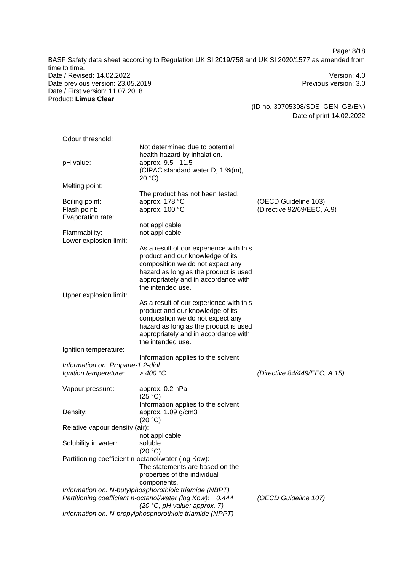| Date / Revised: 14.02.2022<br>Version: 4.0<br>Date previous version: 23.05.2019<br>Previous version: 3.0<br>Date / First version: 11.07.2018<br>Product: Limus Clear<br>(ID no. 30705398/SDS_GEN_GB/EN)<br>Date of print 14.02.2022<br>Odour threshold:<br>Not determined due to potential<br>health hazard by inhalation.<br>approx. 9.5 - 11.5<br>pH value:<br>(CIPAC standard water D, 1 %(m),<br>20 °C<br>Melting point:<br>The product has not been tested.<br>approx. 178 °C<br>Boiling point:<br>(OECD Guideline 103)<br>approx. 100 °C<br>(Directive 92/69/EEC, A.9)<br>Flash point:<br>Evaporation rate:<br>not applicable<br>not applicable<br>Flammability:<br>Lower explosion limit:<br>As a result of our experience with this<br>product and our knowledge of its<br>composition we do not expect any<br>hazard as long as the product is used<br>appropriately and in accordance with<br>the intended use.<br>Upper explosion limit:<br>As a result of our experience with this<br>product and our knowledge of its<br>composition we do not expect any<br>hazard as long as the product is used<br>appropriately and in accordance with<br>the intended use.<br>Ignition temperature:<br>Information applies to the solvent.<br>Information on: Propane-1,2-diol<br>$>$ 400 °C<br>Ignition temperature:<br>(Directive 84/449/EEC, A.15)<br>Vapour pressure:<br>approx. 0.2 hPa<br>(25 °C)<br>Information applies to the solvent.<br>approx. 1.09 g/cm3<br>Density:<br>(20 °C)<br>Relative vapour density (air):<br>not applicable<br>Solubility in water:<br>soluble<br>(20 °C)<br>Partitioning coefficient n-octanol/water (log Kow):<br>The statements are based on the<br>properties of the individual<br>components.<br>Information on: N-butylphosphorothioic triamide (NBPT)<br>Partitioning coefficient n-octanol/water (log Kow): 0.444<br>(OECD Guideline 107)<br>(20 °C; pH value: approx. 7)<br>Information on: N-propylphosphorothioic triamide (NPPT) |               | BASF Safety data sheet according to Regulation UK SI 2019/758 and UK SI 2020/1577 as amended from |  |
|------------------------------------------------------------------------------------------------------------------------------------------------------------------------------------------------------------------------------------------------------------------------------------------------------------------------------------------------------------------------------------------------------------------------------------------------------------------------------------------------------------------------------------------------------------------------------------------------------------------------------------------------------------------------------------------------------------------------------------------------------------------------------------------------------------------------------------------------------------------------------------------------------------------------------------------------------------------------------------------------------------------------------------------------------------------------------------------------------------------------------------------------------------------------------------------------------------------------------------------------------------------------------------------------------------------------------------------------------------------------------------------------------------------------------------------------------------------------------------------------------------------------------------------------------------------------------------------------------------------------------------------------------------------------------------------------------------------------------------------------------------------------------------------------------------------------------------------------------------------------------------------------------------------------------------------------------------------------------------|---------------|---------------------------------------------------------------------------------------------------|--|
|                                                                                                                                                                                                                                                                                                                                                                                                                                                                                                                                                                                                                                                                                                                                                                                                                                                                                                                                                                                                                                                                                                                                                                                                                                                                                                                                                                                                                                                                                                                                                                                                                                                                                                                                                                                                                                                                                                                                                                                    | time to time. |                                                                                                   |  |
|                                                                                                                                                                                                                                                                                                                                                                                                                                                                                                                                                                                                                                                                                                                                                                                                                                                                                                                                                                                                                                                                                                                                                                                                                                                                                                                                                                                                                                                                                                                                                                                                                                                                                                                                                                                                                                                                                                                                                                                    |               |                                                                                                   |  |
|                                                                                                                                                                                                                                                                                                                                                                                                                                                                                                                                                                                                                                                                                                                                                                                                                                                                                                                                                                                                                                                                                                                                                                                                                                                                                                                                                                                                                                                                                                                                                                                                                                                                                                                                                                                                                                                                                                                                                                                    |               |                                                                                                   |  |
|                                                                                                                                                                                                                                                                                                                                                                                                                                                                                                                                                                                                                                                                                                                                                                                                                                                                                                                                                                                                                                                                                                                                                                                                                                                                                                                                                                                                                                                                                                                                                                                                                                                                                                                                                                                                                                                                                                                                                                                    |               |                                                                                                   |  |
|                                                                                                                                                                                                                                                                                                                                                                                                                                                                                                                                                                                                                                                                                                                                                                                                                                                                                                                                                                                                                                                                                                                                                                                                                                                                                                                                                                                                                                                                                                                                                                                                                                                                                                                                                                                                                                                                                                                                                                                    |               |                                                                                                   |  |
|                                                                                                                                                                                                                                                                                                                                                                                                                                                                                                                                                                                                                                                                                                                                                                                                                                                                                                                                                                                                                                                                                                                                                                                                                                                                                                                                                                                                                                                                                                                                                                                                                                                                                                                                                                                                                                                                                                                                                                                    |               |                                                                                                   |  |
|                                                                                                                                                                                                                                                                                                                                                                                                                                                                                                                                                                                                                                                                                                                                                                                                                                                                                                                                                                                                                                                                                                                                                                                                                                                                                                                                                                                                                                                                                                                                                                                                                                                                                                                                                                                                                                                                                                                                                                                    |               |                                                                                                   |  |
|                                                                                                                                                                                                                                                                                                                                                                                                                                                                                                                                                                                                                                                                                                                                                                                                                                                                                                                                                                                                                                                                                                                                                                                                                                                                                                                                                                                                                                                                                                                                                                                                                                                                                                                                                                                                                                                                                                                                                                                    |               |                                                                                                   |  |
|                                                                                                                                                                                                                                                                                                                                                                                                                                                                                                                                                                                                                                                                                                                                                                                                                                                                                                                                                                                                                                                                                                                                                                                                                                                                                                                                                                                                                                                                                                                                                                                                                                                                                                                                                                                                                                                                                                                                                                                    |               |                                                                                                   |  |
|                                                                                                                                                                                                                                                                                                                                                                                                                                                                                                                                                                                                                                                                                                                                                                                                                                                                                                                                                                                                                                                                                                                                                                                                                                                                                                                                                                                                                                                                                                                                                                                                                                                                                                                                                                                                                                                                                                                                                                                    |               |                                                                                                   |  |
|                                                                                                                                                                                                                                                                                                                                                                                                                                                                                                                                                                                                                                                                                                                                                                                                                                                                                                                                                                                                                                                                                                                                                                                                                                                                                                                                                                                                                                                                                                                                                                                                                                                                                                                                                                                                                                                                                                                                                                                    |               |                                                                                                   |  |
|                                                                                                                                                                                                                                                                                                                                                                                                                                                                                                                                                                                                                                                                                                                                                                                                                                                                                                                                                                                                                                                                                                                                                                                                                                                                                                                                                                                                                                                                                                                                                                                                                                                                                                                                                                                                                                                                                                                                                                                    |               |                                                                                                   |  |
|                                                                                                                                                                                                                                                                                                                                                                                                                                                                                                                                                                                                                                                                                                                                                                                                                                                                                                                                                                                                                                                                                                                                                                                                                                                                                                                                                                                                                                                                                                                                                                                                                                                                                                                                                                                                                                                                                                                                                                                    |               |                                                                                                   |  |
|                                                                                                                                                                                                                                                                                                                                                                                                                                                                                                                                                                                                                                                                                                                                                                                                                                                                                                                                                                                                                                                                                                                                                                                                                                                                                                                                                                                                                                                                                                                                                                                                                                                                                                                                                                                                                                                                                                                                                                                    |               |                                                                                                   |  |
|                                                                                                                                                                                                                                                                                                                                                                                                                                                                                                                                                                                                                                                                                                                                                                                                                                                                                                                                                                                                                                                                                                                                                                                                                                                                                                                                                                                                                                                                                                                                                                                                                                                                                                                                                                                                                                                                                                                                                                                    |               |                                                                                                   |  |
|                                                                                                                                                                                                                                                                                                                                                                                                                                                                                                                                                                                                                                                                                                                                                                                                                                                                                                                                                                                                                                                                                                                                                                                                                                                                                                                                                                                                                                                                                                                                                                                                                                                                                                                                                                                                                                                                                                                                                                                    |               |                                                                                                   |  |
|                                                                                                                                                                                                                                                                                                                                                                                                                                                                                                                                                                                                                                                                                                                                                                                                                                                                                                                                                                                                                                                                                                                                                                                                                                                                                                                                                                                                                                                                                                                                                                                                                                                                                                                                                                                                                                                                                                                                                                                    |               |                                                                                                   |  |
|                                                                                                                                                                                                                                                                                                                                                                                                                                                                                                                                                                                                                                                                                                                                                                                                                                                                                                                                                                                                                                                                                                                                                                                                                                                                                                                                                                                                                                                                                                                                                                                                                                                                                                                                                                                                                                                                                                                                                                                    |               |                                                                                                   |  |
|                                                                                                                                                                                                                                                                                                                                                                                                                                                                                                                                                                                                                                                                                                                                                                                                                                                                                                                                                                                                                                                                                                                                                                                                                                                                                                                                                                                                                                                                                                                                                                                                                                                                                                                                                                                                                                                                                                                                                                                    |               |                                                                                                   |  |
|                                                                                                                                                                                                                                                                                                                                                                                                                                                                                                                                                                                                                                                                                                                                                                                                                                                                                                                                                                                                                                                                                                                                                                                                                                                                                                                                                                                                                                                                                                                                                                                                                                                                                                                                                                                                                                                                                                                                                                                    |               |                                                                                                   |  |
|                                                                                                                                                                                                                                                                                                                                                                                                                                                                                                                                                                                                                                                                                                                                                                                                                                                                                                                                                                                                                                                                                                                                                                                                                                                                                                                                                                                                                                                                                                                                                                                                                                                                                                                                                                                                                                                                                                                                                                                    |               |                                                                                                   |  |
|                                                                                                                                                                                                                                                                                                                                                                                                                                                                                                                                                                                                                                                                                                                                                                                                                                                                                                                                                                                                                                                                                                                                                                                                                                                                                                                                                                                                                                                                                                                                                                                                                                                                                                                                                                                                                                                                                                                                                                                    |               |                                                                                                   |  |
|                                                                                                                                                                                                                                                                                                                                                                                                                                                                                                                                                                                                                                                                                                                                                                                                                                                                                                                                                                                                                                                                                                                                                                                                                                                                                                                                                                                                                                                                                                                                                                                                                                                                                                                                                                                                                                                                                                                                                                                    |               |                                                                                                   |  |
|                                                                                                                                                                                                                                                                                                                                                                                                                                                                                                                                                                                                                                                                                                                                                                                                                                                                                                                                                                                                                                                                                                                                                                                                                                                                                                                                                                                                                                                                                                                                                                                                                                                                                                                                                                                                                                                                                                                                                                                    |               |                                                                                                   |  |
|                                                                                                                                                                                                                                                                                                                                                                                                                                                                                                                                                                                                                                                                                                                                                                                                                                                                                                                                                                                                                                                                                                                                                                                                                                                                                                                                                                                                                                                                                                                                                                                                                                                                                                                                                                                                                                                                                                                                                                                    |               |                                                                                                   |  |
|                                                                                                                                                                                                                                                                                                                                                                                                                                                                                                                                                                                                                                                                                                                                                                                                                                                                                                                                                                                                                                                                                                                                                                                                                                                                                                                                                                                                                                                                                                                                                                                                                                                                                                                                                                                                                                                                                                                                                                                    |               |                                                                                                   |  |
|                                                                                                                                                                                                                                                                                                                                                                                                                                                                                                                                                                                                                                                                                                                                                                                                                                                                                                                                                                                                                                                                                                                                                                                                                                                                                                                                                                                                                                                                                                                                                                                                                                                                                                                                                                                                                                                                                                                                                                                    |               |                                                                                                   |  |
|                                                                                                                                                                                                                                                                                                                                                                                                                                                                                                                                                                                                                                                                                                                                                                                                                                                                                                                                                                                                                                                                                                                                                                                                                                                                                                                                                                                                                                                                                                                                                                                                                                                                                                                                                                                                                                                                                                                                                                                    |               |                                                                                                   |  |
|                                                                                                                                                                                                                                                                                                                                                                                                                                                                                                                                                                                                                                                                                                                                                                                                                                                                                                                                                                                                                                                                                                                                                                                                                                                                                                                                                                                                                                                                                                                                                                                                                                                                                                                                                                                                                                                                                                                                                                                    |               |                                                                                                   |  |
|                                                                                                                                                                                                                                                                                                                                                                                                                                                                                                                                                                                                                                                                                                                                                                                                                                                                                                                                                                                                                                                                                                                                                                                                                                                                                                                                                                                                                                                                                                                                                                                                                                                                                                                                                                                                                                                                                                                                                                                    |               |                                                                                                   |  |
|                                                                                                                                                                                                                                                                                                                                                                                                                                                                                                                                                                                                                                                                                                                                                                                                                                                                                                                                                                                                                                                                                                                                                                                                                                                                                                                                                                                                                                                                                                                                                                                                                                                                                                                                                                                                                                                                                                                                                                                    |               |                                                                                                   |  |
|                                                                                                                                                                                                                                                                                                                                                                                                                                                                                                                                                                                                                                                                                                                                                                                                                                                                                                                                                                                                                                                                                                                                                                                                                                                                                                                                                                                                                                                                                                                                                                                                                                                                                                                                                                                                                                                                                                                                                                                    |               |                                                                                                   |  |
|                                                                                                                                                                                                                                                                                                                                                                                                                                                                                                                                                                                                                                                                                                                                                                                                                                                                                                                                                                                                                                                                                                                                                                                                                                                                                                                                                                                                                                                                                                                                                                                                                                                                                                                                                                                                                                                                                                                                                                                    |               |                                                                                                   |  |
|                                                                                                                                                                                                                                                                                                                                                                                                                                                                                                                                                                                                                                                                                                                                                                                                                                                                                                                                                                                                                                                                                                                                                                                                                                                                                                                                                                                                                                                                                                                                                                                                                                                                                                                                                                                                                                                                                                                                                                                    |               |                                                                                                   |  |
|                                                                                                                                                                                                                                                                                                                                                                                                                                                                                                                                                                                                                                                                                                                                                                                                                                                                                                                                                                                                                                                                                                                                                                                                                                                                                                                                                                                                                                                                                                                                                                                                                                                                                                                                                                                                                                                                                                                                                                                    |               |                                                                                                   |  |
|                                                                                                                                                                                                                                                                                                                                                                                                                                                                                                                                                                                                                                                                                                                                                                                                                                                                                                                                                                                                                                                                                                                                                                                                                                                                                                                                                                                                                                                                                                                                                                                                                                                                                                                                                                                                                                                                                                                                                                                    |               |                                                                                                   |  |
|                                                                                                                                                                                                                                                                                                                                                                                                                                                                                                                                                                                                                                                                                                                                                                                                                                                                                                                                                                                                                                                                                                                                                                                                                                                                                                                                                                                                                                                                                                                                                                                                                                                                                                                                                                                                                                                                                                                                                                                    |               |                                                                                                   |  |
|                                                                                                                                                                                                                                                                                                                                                                                                                                                                                                                                                                                                                                                                                                                                                                                                                                                                                                                                                                                                                                                                                                                                                                                                                                                                                                                                                                                                                                                                                                                                                                                                                                                                                                                                                                                                                                                                                                                                                                                    |               |                                                                                                   |  |
|                                                                                                                                                                                                                                                                                                                                                                                                                                                                                                                                                                                                                                                                                                                                                                                                                                                                                                                                                                                                                                                                                                                                                                                                                                                                                                                                                                                                                                                                                                                                                                                                                                                                                                                                                                                                                                                                                                                                                                                    |               |                                                                                                   |  |
|                                                                                                                                                                                                                                                                                                                                                                                                                                                                                                                                                                                                                                                                                                                                                                                                                                                                                                                                                                                                                                                                                                                                                                                                                                                                                                                                                                                                                                                                                                                                                                                                                                                                                                                                                                                                                                                                                                                                                                                    |               |                                                                                                   |  |
|                                                                                                                                                                                                                                                                                                                                                                                                                                                                                                                                                                                                                                                                                                                                                                                                                                                                                                                                                                                                                                                                                                                                                                                                                                                                                                                                                                                                                                                                                                                                                                                                                                                                                                                                                                                                                                                                                                                                                                                    |               |                                                                                                   |  |
|                                                                                                                                                                                                                                                                                                                                                                                                                                                                                                                                                                                                                                                                                                                                                                                                                                                                                                                                                                                                                                                                                                                                                                                                                                                                                                                                                                                                                                                                                                                                                                                                                                                                                                                                                                                                                                                                                                                                                                                    |               |                                                                                                   |  |
|                                                                                                                                                                                                                                                                                                                                                                                                                                                                                                                                                                                                                                                                                                                                                                                                                                                                                                                                                                                                                                                                                                                                                                                                                                                                                                                                                                                                                                                                                                                                                                                                                                                                                                                                                                                                                                                                                                                                                                                    |               |                                                                                                   |  |
|                                                                                                                                                                                                                                                                                                                                                                                                                                                                                                                                                                                                                                                                                                                                                                                                                                                                                                                                                                                                                                                                                                                                                                                                                                                                                                                                                                                                                                                                                                                                                                                                                                                                                                                                                                                                                                                                                                                                                                                    |               |                                                                                                   |  |
|                                                                                                                                                                                                                                                                                                                                                                                                                                                                                                                                                                                                                                                                                                                                                                                                                                                                                                                                                                                                                                                                                                                                                                                                                                                                                                                                                                                                                                                                                                                                                                                                                                                                                                                                                                                                                                                                                                                                                                                    |               |                                                                                                   |  |
|                                                                                                                                                                                                                                                                                                                                                                                                                                                                                                                                                                                                                                                                                                                                                                                                                                                                                                                                                                                                                                                                                                                                                                                                                                                                                                                                                                                                                                                                                                                                                                                                                                                                                                                                                                                                                                                                                                                                                                                    |               |                                                                                                   |  |
|                                                                                                                                                                                                                                                                                                                                                                                                                                                                                                                                                                                                                                                                                                                                                                                                                                                                                                                                                                                                                                                                                                                                                                                                                                                                                                                                                                                                                                                                                                                                                                                                                                                                                                                                                                                                                                                                                                                                                                                    |               |                                                                                                   |  |
|                                                                                                                                                                                                                                                                                                                                                                                                                                                                                                                                                                                                                                                                                                                                                                                                                                                                                                                                                                                                                                                                                                                                                                                                                                                                                                                                                                                                                                                                                                                                                                                                                                                                                                                                                                                                                                                                                                                                                                                    |               |                                                                                                   |  |
|                                                                                                                                                                                                                                                                                                                                                                                                                                                                                                                                                                                                                                                                                                                                                                                                                                                                                                                                                                                                                                                                                                                                                                                                                                                                                                                                                                                                                                                                                                                                                                                                                                                                                                                                                                                                                                                                                                                                                                                    |               |                                                                                                   |  |
|                                                                                                                                                                                                                                                                                                                                                                                                                                                                                                                                                                                                                                                                                                                                                                                                                                                                                                                                                                                                                                                                                                                                                                                                                                                                                                                                                                                                                                                                                                                                                                                                                                                                                                                                                                                                                                                                                                                                                                                    |               |                                                                                                   |  |

Page: 8/18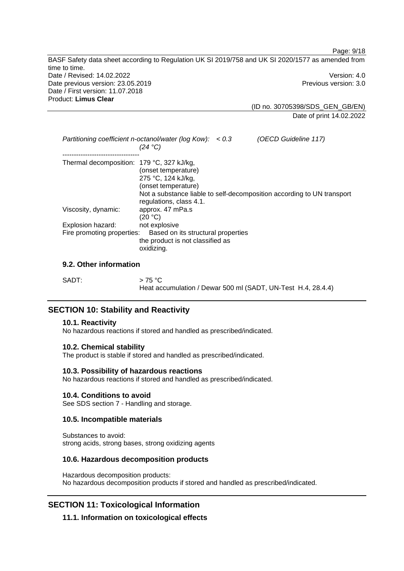BASF Safety data sheet according to Regulation UK SI 2019/758 and UK SI 2020/1577 as amended from time to time. Date / Revised: 14.02.2022 Version: 4.0 Date previous version: 23.05.2019 **Previous version: 3.0** Previous version: 3.0 Date / First version: 11.07.2018 Product: **Limus Clear** 

(ID no. 30705398/SDS\_GEN\_GB/EN) Date of print 14.02.2022

Page: 9/18

|                                           | Partitioning coefficient n-octanol/water (log Kow): $< 0.3$<br>(24 °C)                      | (OECD Guideline 117)                                                   |
|-------------------------------------------|---------------------------------------------------------------------------------------------|------------------------------------------------------------------------|
| Thermal decomposition: 179 °C, 327 kJ/kg, | (onset temperature)<br>275 °C, 124 kJ/kg,<br>(onset temperature)<br>regulations, class 4.1. | Not a substance liable to self-decomposition according to UN transport |
| Viscosity, dynamic:                       | approx. 47 mPa.s<br>(20 °C)                                                                 |                                                                        |
| Explosion hazard:                         | not explosive                                                                               |                                                                        |
| Fire promoting properties:                | Based on its structural properties<br>the product is not classified as<br>oxidizing.        |                                                                        |

# **9.2. Other information**

| SADT: | $>$ 75 °C                                                    |
|-------|--------------------------------------------------------------|
|       | Heat accumulation / Dewar 500 ml (SADT, UN-Test H.4, 28.4.4) |

# **SECTION 10: Stability and Reactivity**

# **10.1. Reactivity**

No hazardous reactions if stored and handled as prescribed/indicated.

### **10.2. Chemical stability**

The product is stable if stored and handled as prescribed/indicated.

### **10.3. Possibility of hazardous reactions**

No hazardous reactions if stored and handled as prescribed/indicated.

### **10.4. Conditions to avoid**

See SDS section 7 - Handling and storage.

# **10.5. Incompatible materials**

Substances to avoid: strong acids, strong bases, strong oxidizing agents

# **10.6. Hazardous decomposition products**

Hazardous decomposition products: No hazardous decomposition products if stored and handled as prescribed/indicated.

# **SECTION 11: Toxicological Information**

**11.1. Information on toxicological effects**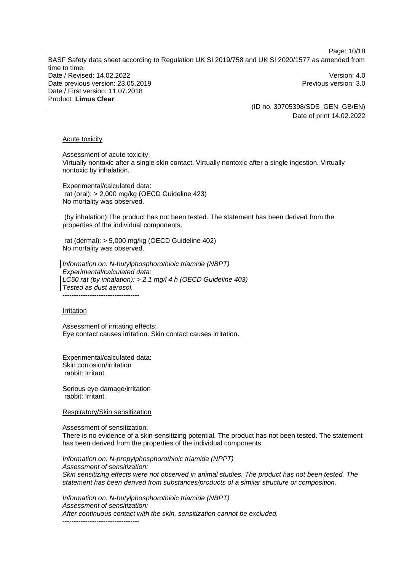Page: 10/18

BASF Safety data sheet according to Regulation UK SI 2019/758 and UK SI 2020/1577 as amended from time to time. Date / Revised: 14.02.2022 Version: 4.0 Date previous version: 23.05.2019 **Previous version: 3.0** Previous version: 3.0 Date / First version: 11.07.2018 Product: **Limus Clear** 

(ID no. 30705398/SDS\_GEN\_GB/EN) Date of print 14.02.2022

### Acute toxicity

Assessment of acute toxicity: Virtually nontoxic after a single skin contact. Virtually nontoxic after a single ingestion. Virtually nontoxic by inhalation.

Experimental/calculated data: rat (oral): > 2,000 mg/kg (OECD Guideline 423) No mortality was observed.

 (by inhalation):The product has not been tested. The statement has been derived from the properties of the individual components.

 rat (dermal): > 5,000 mg/kg (OECD Guideline 402) No mortality was observed.

*Information on: N-butylphosphorothioic triamide (NBPT) Experimental/calculated data: LC50 rat (by inhalation): > 2.1 mg/l 4 h (OECD Guideline 403) Tested as dust aerosol.*  ----------------------------------

#### Irritation

Assessment of irritating effects: Eye contact causes irritation. Skin contact causes irritation.

Experimental/calculated data: Skin corrosion/irritation rabbit: Irritant.

Serious eye damage/irritation rabbit: Irritant.

Respiratory/Skin sensitization

Assessment of sensitization:

There is no evidence of a skin-sensitizing potential. The product has not been tested. The statement has been derived from the properties of the individual components.

*Information on: N-propylphosphorothioic triamide (NPPT) Assessment of sensitization: Skin sensitizing effects were not observed in animal studies. The product has not been tested. The statement has been derived from substances/products of a similar structure or composition.* 

*Information on: N-butylphosphorothioic triamide (NBPT) Assessment of sensitization: After continuous contact with the skin, sensitization cannot be excluded.*  ----------------------------------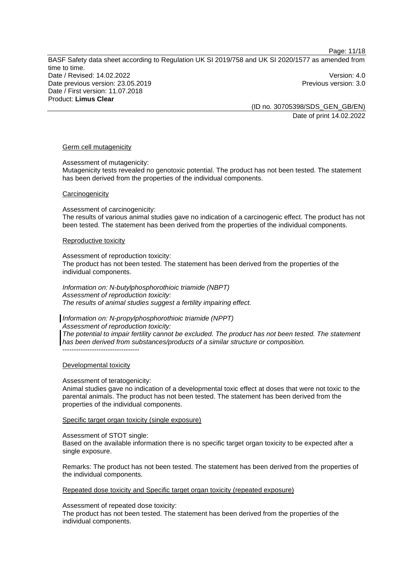Page: 11/18

BASF Safety data sheet according to Regulation UK SI 2019/758 and UK SI 2020/1577 as amended from time to time. Date / Revised: 14.02.2022 Version: 4.0 Date previous version: 23.05.2019 **Previous version: 3.0** Previous version: 3.0 Date / First version: 11.07.2018 Product: **Limus Clear** 

(ID no. 30705398/SDS\_GEN\_GB/EN) Date of print 14.02.2022

### Germ cell mutagenicity

Assessment of mutagenicity:

Mutagenicity tests revealed no genotoxic potential. The product has not been tested. The statement has been derived from the properties of the individual components.

#### **Carcinogenicity**

Assessment of carcinogenicity: The results of various animal studies gave no indication of a carcinogenic effect. The product has not been tested. The statement has been derived from the properties of the individual components.

#### Reproductive toxicity

Assessment of reproduction toxicity: The product has not been tested. The statement has been derived from the properties of the individual components.

*Information on: N-butylphosphorothioic triamide (NBPT) Assessment of reproduction toxicity: The results of animal studies suggest a fertility impairing effect.* 

*Information on: N-propylphosphorothioic triamide (NPPT)*

*Assessment of reproduction toxicity:* 

*The potential to impair fertility cannot be excluded. The product has not been tested. The statement has been derived from substances/products of a similar structure or composition.*   $-$ 

### Developmental toxicity

### Assessment of teratogenicity:

Animal studies gave no indication of a developmental toxic effect at doses that were not toxic to the parental animals. The product has not been tested. The statement has been derived from the properties of the individual components.

### Specific target organ toxicity (single exposure)

#### Assessment of STOT single:

Based on the available information there is no specific target organ toxicity to be expected after a single exposure.

Remarks: The product has not been tested. The statement has been derived from the properties of the individual components.

Repeated dose toxicity and Specific target organ toxicity (repeated exposure)

Assessment of repeated dose toxicity:

The product has not been tested. The statement has been derived from the properties of the individual components.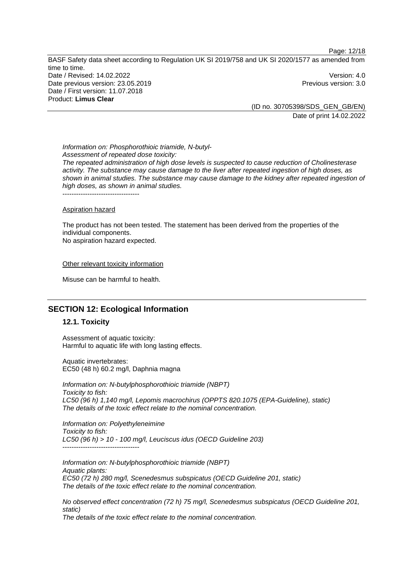BASF Safety data sheet according to Regulation UK SI 2019/758 and UK SI 2020/1577 as amended from time to time. Date / Revised: 14.02.2022 Version: 4.0 Date previous version: 23.05.2019 **Previous version: 3.0** Previous version: 3.0 Date / First version: 11.07.2018 Product: **Limus Clear** 

(ID no. 30705398/SDS\_GEN\_GB/EN) Date of print 14.02.2022

Page: 12/18

*Information on: Phosphorothioic triamide, N-butyl-Assessment of repeated dose toxicity: The repeated administration of high dose levels is suspected to cause reduction of Cholinesterase activity. The substance may cause damage to the liver after repeated ingestion of high doses, as shown in animal studies. The substance may cause damage to the kidney after repeated ingestion of high doses, as shown in animal studies.* 

----------------------------------

#### Aspiration hazard

The product has not been tested. The statement has been derived from the properties of the individual components. No aspiration hazard expected.

Other relevant toxicity information

Misuse can be harmful to health.

# **SECTION 12: Ecological Information**

### **12.1. Toxicity**

Assessment of aquatic toxicity: Harmful to aquatic life with long lasting effects.

Aquatic invertebrates: EC50 (48 h) 60.2 mg/l, Daphnia magna

*Information on: N-butylphosphorothioic triamide (NBPT) Toxicity to fish: LC50 (96 h) 1,140 mg/l, Lepomis macrochirus (OPPTS 820.1075 (EPA-Guideline), static) The details of the toxic effect relate to the nominal concentration.* 

*Information on: Polyethyleneimine Toxicity to fish: LC50 (96 h) > 10 - 100 mg/l, Leuciscus idus (OECD Guideline 203)*  ----------------------------------

*Information on: N-butylphosphorothioic triamide (NBPT) Aquatic plants: EC50 (72 h) 280 mg/l, Scenedesmus subspicatus (OECD Guideline 201, static) The details of the toxic effect relate to the nominal concentration.* 

*No observed effect concentration (72 h) 75 mg/l, Scenedesmus subspicatus (OECD Guideline 201, static)* 

*The details of the toxic effect relate to the nominal concentration.*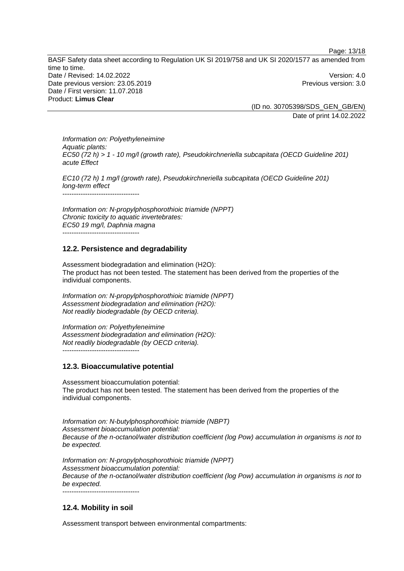Page: 13/18

BASF Safety data sheet according to Regulation UK SI 2019/758 and UK SI 2020/1577 as amended from time to time. Date / Revised: 14.02.2022 Version: 4.0 Date previous version: 23.05.2019 **Previous version: 3.0** Previous version: 3.0 Date / First version: 11.07.2018 Product: **Limus Clear** 

(ID no. 30705398/SDS\_GEN\_GB/EN) Date of print 14.02.2022

*Information on: Polyethyleneimine Aquatic plants: EC50 (72 h) > 1 - 10 mg/l (growth rate), Pseudokirchneriella subcapitata (OECD Guideline 201) acute Effect* 

*EC10 (72 h) 1 mg/l (growth rate), Pseudokirchneriella subcapitata (OECD Guideline 201) long-term effect*  ----------------------------------

*Information on: N-propylphosphorothioic triamide (NPPT) Chronic toxicity to aquatic invertebrates: EC50 19 mg/l, Daphnia magna*  -----------------------------------

# **12.2. Persistence and degradability**

Assessment biodegradation and elimination (H2O): The product has not been tested. The statement has been derived from the properties of the individual components.

*Information on: N-propylphosphorothioic triamide (NPPT) Assessment biodegradation and elimination (H2O): Not readily biodegradable (by OECD criteria).* 

*Information on: Polyethyleneimine Assessment biodegradation and elimination (H2O): Not readily biodegradable (by OECD criteria).*  -----------------------------------

# **12.3. Bioaccumulative potential**

Assessment bioaccumulation potential: The product has not been tested. The statement has been derived from the properties of the individual components.

*Information on: N-butylphosphorothioic triamide (NBPT) Assessment bioaccumulation potential: Because of the n-octanol/water distribution coefficient (log Pow) accumulation in organisms is not to be expected.* 

*Information on: N-propylphosphorothioic triamide (NPPT) Assessment bioaccumulation potential: Because of the n-octanol/water distribution coefficient (log Pow) accumulation in organisms is not to be expected.*  -----------------------------------

# **12.4. Mobility in soil**

Assessment transport between environmental compartments: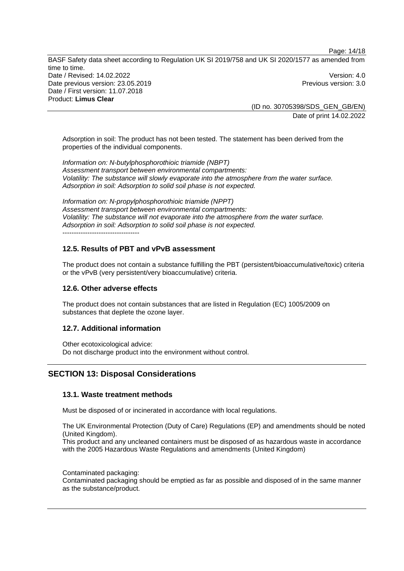Page: 14/18

BASF Safety data sheet according to Regulation UK SI 2019/758 and UK SI 2020/1577 as amended from time to time. Date / Revised: 14.02.2022 Version: 4.0 Date previous version: 23.05.2019 **Previous version: 3.0** Previous version: 3.0 Date / First version: 11.07.2018 Product: **Limus Clear** 

(ID no. 30705398/SDS\_GEN\_GB/EN) Date of print 14.02.2022

Adsorption in soil: The product has not been tested. The statement has been derived from the properties of the individual components.

*Information on: N-butylphosphorothioic triamide (NBPT) Assessment transport between environmental compartments: Volatility: The substance will slowly evaporate into the atmosphere from the water surface. Adsorption in soil: Adsorption to solid soil phase is not expected.*

*Information on: N-propylphosphorothioic triamide (NPPT) Assessment transport between environmental compartments: Volatility: The substance will not evaporate into the atmosphere from the water surface. Adsorption in soil: Adsorption to solid soil phase is not expected.* -----------------------------------

# **12.5. Results of PBT and vPvB assessment**

The product does not contain a substance fulfilling the PBT (persistent/bioaccumulative/toxic) criteria or the vPvB (very persistent/very bioaccumulative) criteria.

### **12.6. Other adverse effects**

The product does not contain substances that are listed in Regulation (EC) 1005/2009 on substances that deplete the ozone layer.

# **12.7. Additional information**

Other ecotoxicological advice: Do not discharge product into the environment without control.

# **SECTION 13: Disposal Considerations**

### **13.1. Waste treatment methods**

Must be disposed of or incinerated in accordance with local regulations.

The UK Environmental Protection (Duty of Care) Regulations (EP) and amendments should be noted (United Kingdom).

This product and any uncleaned containers must be disposed of as hazardous waste in accordance with the 2005 Hazardous Waste Regulations and amendments (United Kingdom)

Contaminated packaging:

Contaminated packaging should be emptied as far as possible and disposed of in the same manner as the substance/product.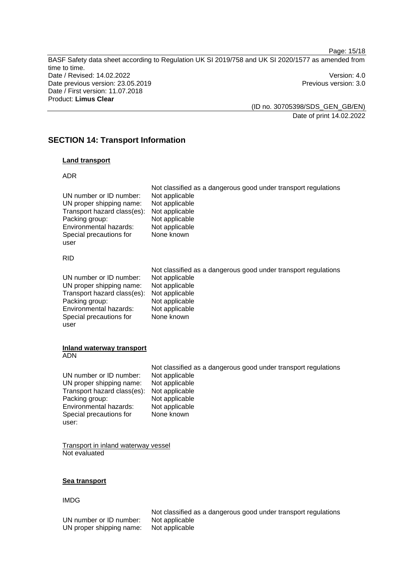BASF Safety data sheet according to Regulation UK SI 2019/758 and UK SI 2020/1577 as amended from time to time. Date / Revised: 14.02.2022 Version: 4.0 Date previous version: 23.05.2019 **Previous version: 3.0** Previous version: 3.0 Date / First version: 11.07.2018 Product: **Limus Clear** 

Page: 15/18

(ID no. 30705398/SDS\_GEN\_GB/EN) Date of print 14.02.2022

# **SECTION 14: Transport Information**

# **Land transport**

# ADR

| UN number or ID number:<br>UN proper shipping name:<br>Transport hazard class(es):<br>Packing group:<br>Environmental hazards:<br>Special precautions for<br>user | Not classified as a dangerous good under transport regulations<br>Not applicable<br>Not applicable<br>Not applicable<br>Not applicable<br>Not applicable<br>None known |
|-------------------------------------------------------------------------------------------------------------------------------------------------------------------|------------------------------------------------------------------------------------------------------------------------------------------------------------------------|
| <b>RID</b>                                                                                                                                                        |                                                                                                                                                                        |
| UN number or ID number:<br>UN proper shipping name:<br>Transport hazard class(es):<br>Packing group:<br>Environmental hazards:                                    | Not classified as a dangerous good under transport regulations<br>Not applicable<br>Not applicable<br>Not applicable<br>Not applicable<br>Not applicable               |

None known

**Inland waterway transport** 

Special precautions for

ADN

user

|                                            | Not classified as a dangerous good under transport regulations |
|--------------------------------------------|----------------------------------------------------------------|
| UN number or ID number:                    | Not applicable                                                 |
| UN proper shipping name:                   | Not applicable                                                 |
| Transport hazard class(es): Not applicable |                                                                |
| Packing group:                             | Not applicable                                                 |
| Environmental hazards:                     | Not applicable                                                 |
| Special precautions for                    | None known                                                     |
| user:                                      |                                                                |

Transport in inland waterway vessel Not evaluated

### **Sea transport**

## IMDG

UN number or ID number: Not applicable<br>UN proper shipping name: Not applicable UN proper shipping name:

Not classified as a dangerous good under transport regulations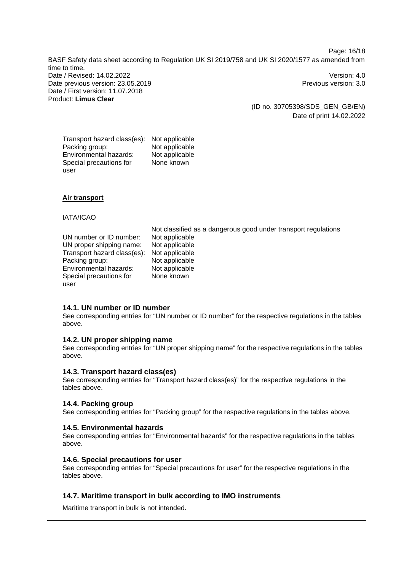Page: 16/18

BASF Safety data sheet according to Regulation UK SI 2019/758 and UK SI 2020/1577 as amended from time to time. Date / Revised: 14.02.2022 Version: 4.0 Date previous version: 23.05.2019 **Previous version: 3.0** Previous version: 3.0 Date / First version: 11.07.2018 Product: **Limus Clear** 

(ID no. 30705398/SDS\_GEN\_GB/EN) Date of print 14.02.2022

Transport hazard class(es): Not applicable Packing group: Not applicable<br>
Environmental hazards: Not applicable Environmental hazards: Special precautions for user None known

# **Air transport**

#### IATA/ICAO

UN number or ID number: Not applicable UN proper shipping name: Not applicable Transport hazard class(es): Not applicable Packing group: Not applicable Environmental hazards: Not applicable Special precautions for user

Not classified as a dangerous good under transport regulations None known

## **14.1. UN number or ID number**

See corresponding entries for "UN number or ID number" for the respective regulations in the tables above.

### **14.2. UN proper shipping name**

See corresponding entries for "UN proper shipping name" for the respective regulations in the tables above.

#### **14.3. Transport hazard class(es)**

See corresponding entries for "Transport hazard class(es)" for the respective regulations in the tables above.

# **14.4. Packing group**

See corresponding entries for "Packing group" for the respective regulations in the tables above.

### **14.5. Environmental hazards**

See corresponding entries for "Environmental hazards" for the respective regulations in the tables above.

### **14.6. Special precautions for user**

See corresponding entries for "Special precautions for user" for the respective regulations in the tables above.

### **14.7. Maritime transport in bulk according to IMO instruments**

Maritime transport in bulk is not intended.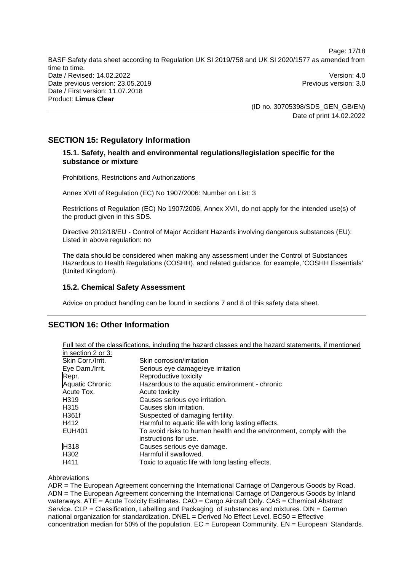Page: 17/18 BASF Safety data sheet according to Regulation UK SI 2019/758 and UK SI 2020/1577 as amended from time to time. Date / Revised: 14.02.2022 Version: 4.0 Date previous version: 23.05.2019 **Previous version: 3.0** Previous version: 3.0 Date / First version: 11.07.2018 Product: **Limus Clear** 

> (ID no. 30705398/SDS\_GEN\_GB/EN) Date of print 14.02.2022

# **SECTION 15: Regulatory Information**

# **15.1. Safety, health and environmental regulations/legislation specific for the substance or mixture**

### Prohibitions, Restrictions and Authorizations

Annex XVII of Regulation (EC) No 1907/2006: Number on List: 3

Restrictions of Regulation (EC) No 1907/2006, Annex XVII, do not apply for the intended use(s) of the product given in this SDS.

Directive 2012/18/EU - Control of Major Accident Hazards involving dangerous substances (EU): Listed in above regulation: no

The data should be considered when making any assessment under the Control of Substances Hazardous to Health Regulations (COSHH), and related guidance, for example, 'COSHH Essentials' (United Kingdom).

# **15.2. Chemical Safety Assessment**

Advice on product handling can be found in sections 7 and 8 of this safety data sheet.

# **SECTION 16: Other Information**

|                        | Full text of the classifications, including the hazard classes and the hazard statements, if mentioned |
|------------------------|--------------------------------------------------------------------------------------------------------|
| in section 2 or 3:     |                                                                                                        |
| Skin Corr./Irrit.      | Skin corrosion/irritation                                                                              |
| Eye Dam./Irrit.        | Serious eye damage/eye irritation                                                                      |
| Repr.                  | Reproductive toxicity                                                                                  |
| <b>Aquatic Chronic</b> | Hazardous to the aquatic environment - chronic                                                         |
| Acute Tox.             | Acute toxicity                                                                                         |
| H <sub>319</sub>       | Causes serious eye irritation.                                                                         |
| H <sub>3</sub> 15      | Causes skin irritation.                                                                                |
| H361f                  | Suspected of damaging fertility.                                                                       |
| H412                   | Harmful to aquatic life with long lasting effects.                                                     |
| <b>EUH401</b>          | To avoid risks to human health and the environment, comply with the                                    |
|                        | instructions for use.                                                                                  |
| H318                   | Causes serious eye damage.                                                                             |
| H <sub>302</sub>       | Harmful if swallowed.                                                                                  |
| H411                   | Toxic to aquatic life with long lasting effects.                                                       |

#### Abbreviations

ADR = The European Agreement concerning the International Carriage of Dangerous Goods by Road. ADN = The European Agreement concerning the International Carriage of Dangerous Goods by Inland waterways. ATE = Acute Toxicity Estimates. CAO = Cargo Aircraft Only. CAS = Chemical Abstract Service. CLP = Classification, Labelling and Packaging of substances and mixtures. DIN = German national organization for standardization.  $DNEL = Derived No Effect Level. EC50 = Effective$ concentration median for 50% of the population.  $EC = European Community$ .  $EN = European Standards$ .